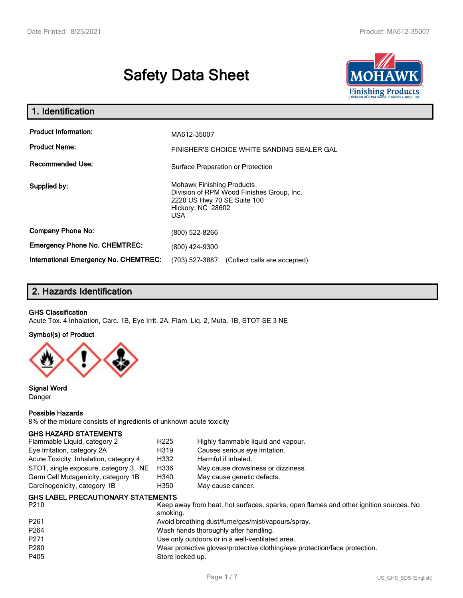# **Safety Data Sheet**



| 1. Identification                            |                                                                                                                                          |  |  |  |  |
|----------------------------------------------|------------------------------------------------------------------------------------------------------------------------------------------|--|--|--|--|
| <b>Product Information:</b>                  | MA612-35007                                                                                                                              |  |  |  |  |
| <b>Product Name:</b>                         | FINISHER'S CHOICE WHITE SANDING SEALER GAL                                                                                               |  |  |  |  |
| <b>Recommended Use:</b>                      | Surface Preparation or Protection                                                                                                        |  |  |  |  |
| Supplied by:                                 | <b>Mohawk Finishing Products</b><br>Division of RPM Wood Finishes Group, Inc.<br>2220 US Hwy 70 SE Suite 100<br>Hickory, NC 28602<br>USA |  |  |  |  |
| <b>Company Phone No:</b>                     | (800) 522-8266                                                                                                                           |  |  |  |  |
| <b>Emergency Phone No. CHEMTREC:</b>         | (800) 424-9300                                                                                                                           |  |  |  |  |
| <b>International Emergency No. CHEMTREC:</b> | (703) 527-3887<br>(Collect calls are accepted)                                                                                           |  |  |  |  |

# **2. Hazards Identification**

## **GHS Classification**

Acute Tox. 4 Inhalation, Carc. 1B, Eye Irrit. 2A, Flam. Liq. 2, Muta. 1B, STOT SE 3 NE

#### **Symbol(s) of Product**



**Signal Word** Danger

#### **Possible Hazards**

8% of the mixture consists of ingredients of unknown acute toxicity

#### **GHS HAZARD STATEMENTS**

| Flammable Liquid, category 2           | H <sub>225</sub> | Highly flammable liquid and vapour. |
|----------------------------------------|------------------|-------------------------------------|
| Eye Irritation, category 2A            | H319             | Causes serious eye irritation.      |
| Acute Toxicity, Inhalation, category 4 | H332             | Harmful if inhaled.                 |
| STOT, single exposure, category 3, NE  | H336             | May cause drowsiness or dizziness.  |
| Germ Cell Mutagenicity, category 1B    | H340             | May cause genetic defects.          |
| Carcinogenicity, category 1B           | H350             | May cause cancer.                   |

| P <sub>210</sub> | Keep away from heat, hot surfaces, sparks, open flames and other ignition sources. No<br>smoking. |
|------------------|---------------------------------------------------------------------------------------------------|
| P <sub>261</sub> | Avoid breathing dust/fume/gas/mist/vapours/spray.                                                 |
| P <sub>264</sub> | Wash hands thoroughly after handling.                                                             |
| P <sub>271</sub> | Use only outdoors or in a well-ventilated area.                                                   |
| P280             | Wear protective gloves/protective clothing/eye protection/face protection.                        |
| P405             | Store locked up.                                                                                  |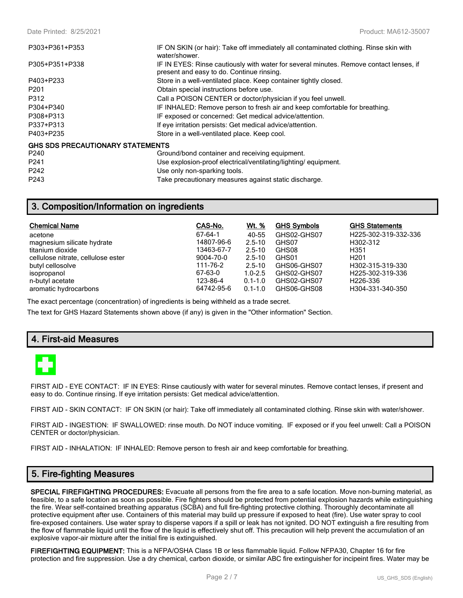| P303+P361+P353                          | IF ON SKIN (or hair): Take off immediately all contaminated clothing. Rinse skin with<br>water/shower.                              |
|-----------------------------------------|-------------------------------------------------------------------------------------------------------------------------------------|
| P305+P351+P338                          | IF IN EYES: Rinse cautiously with water for several minutes. Remove contact lenses, if<br>present and easy to do. Continue rinsing. |
| P403+P233                               | Store in a well-ventilated place. Keep container tightly closed.                                                                    |
| P <sub>201</sub>                        | Obtain special instructions before use.                                                                                             |
| P312                                    | Call a POISON CENTER or doctor/physician if you feel unwell.                                                                        |
| P304+P340                               | IF INHALED: Remove person to fresh air and keep comfortable for breathing.                                                          |
| P308+P313                               | IF exposed or concerned: Get medical advice/attention.                                                                              |
| P337+P313                               | If eye irritation persists: Get medical advice/attention.                                                                           |
| P403+P235                               | Store in a well-ventilated place. Keep cool.                                                                                        |
| <b>GHS SDS PRECAUTIONARY STATEMENTS</b> |                                                                                                                                     |
| P <sub>240</sub>                        | Ground/bond container and receiving equipment.                                                                                      |
| P <sub>241</sub>                        | Use explosion-proof electrical/ventilating/lighting/ equipment.                                                                     |
| P <sub>242</sub>                        | Use only non-sparking tools.                                                                                                        |

# **3. Composition/Information on ingredients**

| <b>Chemical Name</b>               | CAS-No.    | Wt. %       | <b>GHS Symbols</b> | <b>GHS Statements</b> |
|------------------------------------|------------|-------------|--------------------|-----------------------|
| acetone                            | 67-64-1    | 40-55       | GHS02-GHS07        | H225-302-319-332-336  |
| magnesium silicate hydrate         | 14807-96-6 | $2.5 - 10$  | GHS07              | H302-312              |
| titanium dioxide                   | 13463-67-7 | $2.5 - 10$  | GHS08              | H351                  |
| cellulose nitrate, cellulose ester | 9004-70-0  | $2.5 - 10$  | GHS01              | H <sub>201</sub>      |
| butyl cellosolve                   | 111-76-2   | $2.5 - 10$  | GHS06-GHS07        | H302-315-319-330      |
| isopropanol                        | 67-63-0    | $1.0 - 2.5$ | GHS02-GHS07        | H225-302-319-336      |
| n-butyl acetate                    | 123-86-4   | $0.1 - 1.0$ | GHS02-GHS07        | H <sub>226</sub> -336 |
| aromatic hydrocarbons              | 64742-95-6 | $0.1 - 1.0$ | GHS06-GHS08        | H304-331-340-350      |

The exact percentage (concentration) of ingredients is being withheld as a trade secret.

The text for GHS Hazard Statements shown above (if any) is given in the "Other information" Section.

P243 Take precautionary measures against static discharge.

# **4. First-aid Measures**



FIRST AID - EYE CONTACT: IF IN EYES: Rinse cautiously with water for several minutes. Remove contact lenses, if present and easy to do. Continue rinsing. If eye irritation persists: Get medical advice/attention.

FIRST AID - SKIN CONTACT: IF ON SKIN (or hair): Take off immediately all contaminated clothing. Rinse skin with water/shower.

FIRST AID - INGESTION: IF SWALLOWED: rinse mouth. Do NOT induce vomiting. IF exposed or if you feel unwell: Call a POISON CENTER or doctor/physician.

FIRST AID - INHALATION: IF INHALED: Remove person to fresh air and keep comfortable for breathing.

# **5. Fire-fighting Measures**

**SPECIAL FIREFIGHTING PROCEDURES:** Evacuate all persons from the fire area to a safe location. Move non-burning material, as feasible, to a safe location as soon as possible. Fire fighters should be protected from potential explosion hazards while extinguishing the fire. Wear self-contained breathing apparatus (SCBA) and full fire-fighting protective clothing. Thoroughly decontaminate all protective equipment after use. Containers of this material may build up pressure if exposed to heat (fire). Use water spray to cool fire-exposed containers. Use water spray to disperse vapors if a spill or leak has not ignited. DO NOT extinguish a fire resulting from the flow of flammable liquid until the flow of the liquid is effectively shut off. This precaution will help prevent the accumulation of an explosive vapor-air mixture after the initial fire is extinguished.

**FIREFIGHTING EQUIPMENT:** This is a NFPA/OSHA Class 1B or less flammable liquid. Follow NFPA30, Chapter 16 for fire protection and fire suppression. Use a dry chemical, carbon dioxide, or similar ABC fire extinguisher for incipeint fires. Water may be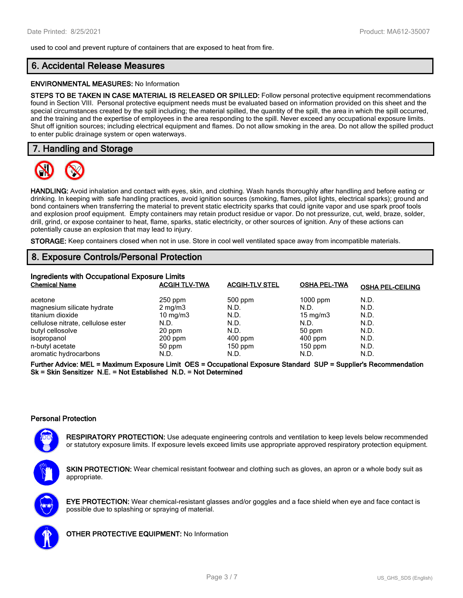used to cool and prevent rupture of containers that are exposed to heat from fire.

# **6. Accidental Release Measures**

#### **ENVIRONMENTAL MEASURES:** No Information

**STEPS TO BE TAKEN IN CASE MATERIAL IS RELEASED OR SPILLED:** Follow personal protective equipment recommendations found in Section VIII. Personal protective equipment needs must be evaluated based on information provided on this sheet and the special circumstances created by the spill including; the material spilled, the quantity of the spill, the area in which the spill occurred, and the training and the expertise of employees in the area responding to the spill. Never exceed any occupational exposure limits. Shut off ignition sources; including electrical equipment and flames. Do not allow smoking in the area. Do not allow the spilled product to enter public drainage system or open waterways.

## **7. Handling and Storage**



**HANDLING:** Avoid inhalation and contact with eyes, skin, and clothing. Wash hands thoroughly after handling and before eating or drinking. In keeping with safe handling practices, avoid ignition sources (smoking, flames, pilot lights, electrical sparks); ground and bond containers when transferring the material to prevent static electricity sparks that could ignite vapor and use spark proof tools and explosion proof equipment. Empty containers may retain product residue or vapor. Do not pressurize, cut, weld, braze, solder, drill, grind, or expose container to heat, flame, sparks, static electricity, or other sources of ignition. Any of these actions can potentially cause an explosion that may lead to injury.

**STORAGE:** Keep containers closed when not in use. Store in cool well ventilated space away from incompatible materials.

# **8. Exposure Controls/Personal Protection**

| Ingredients with Occupational Exposure Limits |                      |                       |                     |                         |  |  |
|-----------------------------------------------|----------------------|-----------------------|---------------------|-------------------------|--|--|
| <b>Chemical Name</b>                          | <b>ACGIH TLV-TWA</b> | <b>ACGIH-TLV STEL</b> | <b>OSHA PEL-TWA</b> | <b>OSHA PEL-CEILING</b> |  |  |
| acetone                                       | $250$ ppm            | 500 ppm               | $1000$ ppm          | N.D.                    |  |  |
| magnesium silicate hydrate                    | $2 \text{ mg/m}$     | N.D.                  | N.D.                | N.D.                    |  |  |
| titanium dioxide                              | $10 \text{ mg/m}$    | N.D.                  | 15 mg/m $3$         | N.D.                    |  |  |
| cellulose nitrate, cellulose ester            | N.D.                 | N.D.                  | N.D.                | N.D.                    |  |  |
| butyl cellosolve                              | 20 ppm               | N.D.                  | 50 ppm              | N.D.                    |  |  |
| isopropanol                                   | $200$ ppm            | $400$ ppm             | $400$ ppm           | N.D.                    |  |  |
| n-butyl acetate                               | 50 ppm               | $150$ ppm             | $150$ ppm           | N.D.                    |  |  |
| aromatic hydrocarbons                         | N.D.                 | N.D.                  | N.D.                | N.D.                    |  |  |

**Further Advice: MEL = Maximum Exposure Limit OES = Occupational Exposure Standard SUP = Supplier's Recommendation Sk = Skin Sensitizer N.E. = Not Established N.D. = Not Determined**

#### **Personal Protection**

**RESPIRATORY PROTECTION:** Use adequate engineering controls and ventilation to keep levels below recommended or statutory exposure limits. If exposure levels exceed limits use appropriate approved respiratory protection equipment.

**SKIN PROTECTION:** Wear chemical resistant footwear and clothing such as gloves, an apron or a whole body suit as appropriate.





**OTHER PROTECTIVE EQUIPMENT:** No Information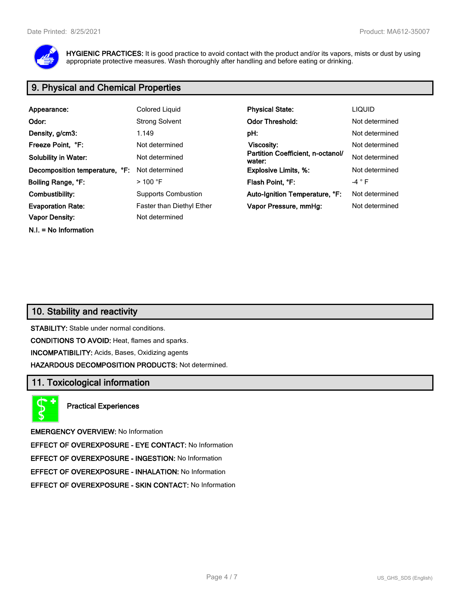

**HYGIENIC PRACTICES:** It is good practice to avoid contact with the product and/or its vapors, mists or dust by using appropriate protective measures. Wash thoroughly after handling and before eating or drinking.

# **9. Physical and Chemical Properties**

| Appearance:                    | Colored Liquid             | <b>Physical State:</b>                      | <b>LIQUID</b>   |
|--------------------------------|----------------------------|---------------------------------------------|-----------------|
| Odor:                          | <b>Strong Solvent</b>      | <b>Odor Threshold:</b>                      | Not determined  |
| Density, g/cm3:                | 1.149                      | pH:                                         | Not determined  |
| Freeze Point, °F:              | Not determined             | Viscosity:                                  | Not determined  |
| <b>Solubility in Water:</b>    | Not determined             | Partition Coefficient, n-octanol/<br>water: | Not determined  |
| Decomposition temperature, °F: | Not determined             | <b>Explosive Limits, %:</b>                 | Not determined  |
| Boiling Range, °F:             | $>$ 100 °F                 | Flash Point, °F:                            | -4 $^{\circ}$ F |
| Combustibility:                | <b>Supports Combustion</b> | Auto-Ignition Temperature, °F:              | Not determined  |
| <b>Evaporation Rate:</b>       | Faster than Diethyl Ether  | Vapor Pressure, mmHg:                       | Not determined  |
| <b>Vapor Density:</b>          | Not determined             |                                             |                 |
| $N.I. = No Information$        |                            |                                             |                 |

# **10. Stability and reactivity**

**STABILITY:** Stable under normal conditions. **CONDITIONS TO AVOID:** Heat, flames and sparks. **INCOMPATIBILITY:** Acids, Bases, Oxidizing agents **HAZARDOUS DECOMPOSITION PRODUCTS:** Not determined.

# **11. Toxicological information**

**Practical Experiences**

**EMERGENCY OVERVIEW:** No Information

**EFFECT OF OVEREXPOSURE - EYE CONTACT:** No Information

**EFFECT OF OVEREXPOSURE - INGESTION:** No Information

**EFFECT OF OVEREXPOSURE - INHALATION:** No Information

**EFFECT OF OVEREXPOSURE - SKIN CONTACT:** No Information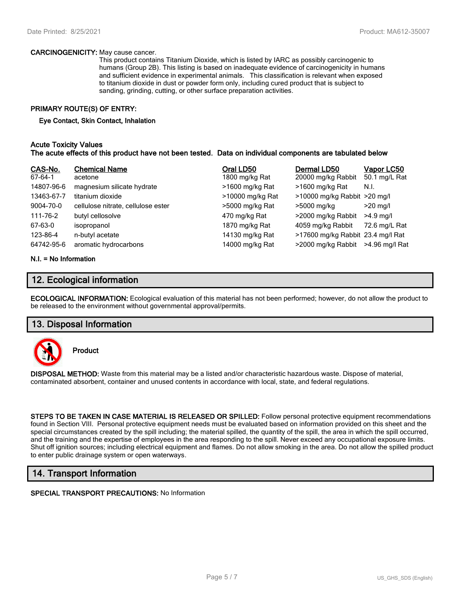#### **CARCINOGENICITY:** May cause cancer.

This product contains Titanium Dioxide, which is listed by IARC as possibly carcinogenic to humans (Group 2B). This listing is based on inadequate evidence of carcinogenicity in humans and sufficient evidence in experimental animals. This classification is relevant when exposed to titanium dioxide in dust or powder form only, including cured product that is subject to sanding, grinding, cutting, or other surface preparation activities.

## **PRIMARY ROUTE(S) OF ENTRY:**

#### **Eye Contact, Skin Contact, Inhalation**

## **Acute Toxicity Values The acute effects of this product have not been tested. Data on individual components are tabulated below**

| CAS-No.<br>67-64-1 | <b>Chemical Name</b><br>acetone    | Oral LD50<br>1800 mg/kg Rat | Dermal LD50<br>20000 mg/kg Rabbit | Vapor LC50<br>50.1 mg/L Rat |
|--------------------|------------------------------------|-----------------------------|-----------------------------------|-----------------------------|
| 14807-96-6         | magnesium silicate hydrate         | >1600 mg/kg Rat             | >1600 mg/kg Rat                   | N.I.                        |
| 13463-67-7         | titanium dioxide                   | >10000 mg/kg Rat            | >10000 mg/kg Rabbit >20 mg/l      |                             |
| 9004-70-0          | cellulose nitrate, cellulose ester | >5000 mg/kg Rat             | >5000 mg/kg                       | $>20$ mg/l                  |
| 111-76-2           | butyl cellosolve                   | 470 mg/kg Rat               | >2000 mg/kg Rabbit                | $>4.9$ mg/l                 |
| 67-63-0            | isopropanol                        | 1870 mg/kg Rat              | 4059 mg/kg Rabbit                 | 72.6 mg/L Rat               |
| 123-86-4           | n-butyl acetate                    | 14130 mg/kg Rat             | >17600 mg/kg Rabbit 23.4 mg/l Rat |                             |
| 64742-95-6         | aromatic hydrocarbons              | 14000 mg/kg Rat             | >2000 mg/kg Rabbit                | >4.96 mg/l Rat              |

#### **N.I. = No Information**

## **12. Ecological information**

**ECOLOGICAL INFORMATION:** Ecological evaluation of this material has not been performed; however, do not allow the product to be released to the environment without governmental approval/permits.

## **13. Disposal Information**



**Product**

**DISPOSAL METHOD:** Waste from this material may be a listed and/or characteristic hazardous waste. Dispose of material, contaminated absorbent, container and unused contents in accordance with local, state, and federal regulations.

**STEPS TO BE TAKEN IN CASE MATERIAL IS RELEASED OR SPILLED:** Follow personal protective equipment recommendations found in Section VIII. Personal protective equipment needs must be evaluated based on information provided on this sheet and the special circumstances created by the spill including; the material spilled, the quantity of the spill, the area in which the spill occurred, and the training and the expertise of employees in the area responding to the spill. Never exceed any occupational exposure limits. Shut off ignition sources; including electrical equipment and flames. Do not allow smoking in the area. Do not allow the spilled product to enter public drainage system or open waterways.

# **14. Transport Information**

**SPECIAL TRANSPORT PRECAUTIONS:** No Information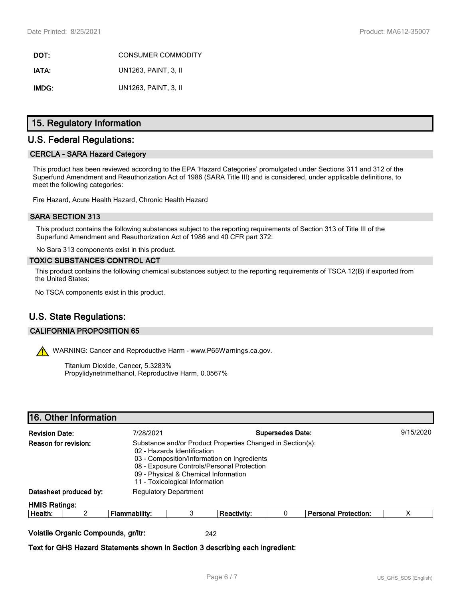**DOT:** CONSUMER COMMODITY **IATA:** UN1263, PAINT, 3, II **IMDG:** UN1263, PAINT, 3, II

# **15. Regulatory Information**

# **U.S. Federal Regulations:**

#### **CERCLA - SARA Hazard Category**

This product has been reviewed according to the EPA 'Hazard Categories' promulgated under Sections 311 and 312 of the Superfund Amendment and Reauthorization Act of 1986 (SARA Title III) and is considered, under applicable definitions, to meet the following categories:

Fire Hazard, Acute Health Hazard, Chronic Health Hazard

## **SARA SECTION 313**

This product contains the following substances subject to the reporting requirements of Section 313 of Title III of the Superfund Amendment and Reauthorization Act of 1986 and 40 CFR part 372:

No Sara 313 components exist in this product.

#### **TOXIC SUBSTANCES CONTROL ACT**

This product contains the following chemical substances subject to the reporting requirements of TSCA 12(B) if exported from the United States:

No TSCA components exist in this product.

# **U.S. State Regulations:**

## **CALIFORNIA PROPOSITION 65**

WARNING: Cancer and Reproductive Harm - www.P65Warnings.ca.gov.

Titanium Dioxide, Cancer, 5.3283% Propylidynetrimethanol, Reproductive Harm, 0.0567%

## **16. Other Information**

| <b>Revision Date:</b>                                                                                                                                                                                                                                                                    |                                     | 7/28/2021     | <b>Supersedes Date:</b>      |             |  | 9/15/2020                   |   |
|------------------------------------------------------------------------------------------------------------------------------------------------------------------------------------------------------------------------------------------------------------------------------------------|-------------------------------------|---------------|------------------------------|-------------|--|-----------------------------|---|
| Reason for revision:<br>Substance and/or Product Properties Changed in Section(s):<br>02 - Hazards Identification<br>03 - Composition/Information on Ingredients<br>08 - Exposure Controls/Personal Protection<br>09 - Physical & Chemical Information<br>11 - Toxicological Information |                                     |               |                              |             |  |                             |   |
|                                                                                                                                                                                                                                                                                          | Datasheet produced by:              |               | <b>Regulatory Department</b> |             |  |                             |   |
| <b>HMIS Ratings:</b>                                                                                                                                                                                                                                                                     |                                     |               |                              |             |  |                             |   |
| Health:                                                                                                                                                                                                                                                                                  | ≏                                   | Flammability: | 3                            | Reactivity: |  | <b>Personal Protection:</b> | х |
|                                                                                                                                                                                                                                                                                          | Volatile Organic Compounds, gr/ltr: |               |                              | 242         |  |                             |   |

**Text for GHS Hazard Statements shown in Section 3 describing each ingredient:**